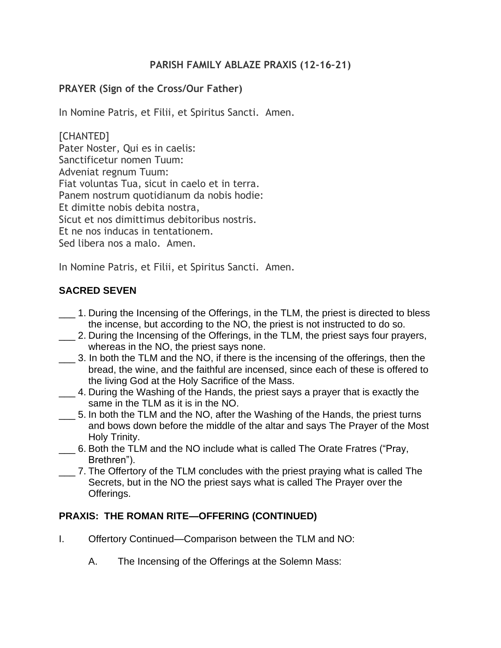## **PARISH FAMILY ABLAZE PRAXIS (12-16–21)**

## **PRAYER (Sign of the Cross/Our Father)**

In Nomine Patris, et Filii, et Spiritus Sancti. Amen.

[CHANTED] Pater Noster, Qui es in caelis: Sanctificetur nomen Tuum: Adveniat regnum Tuum: Fiat voluntas Tua, sicut in caelo et in terra. Panem nostrum quotidianum da nobis hodie: Et dimitte nobis debita nostra, Sicut et nos dimittimus debitoribus nostris. Et ne nos inducas in tentationem. Sed libera nos a malo. Amen.

In Nomine Patris, et Filii, et Spiritus Sancti. Amen.

## **SACRED SEVEN**

- \_\_\_ 1. During the Incensing of the Offerings, in the TLM, the priest is directed to bless the incense, but according to the NO, the priest is not instructed to do so.
- \_\_\_ 2. During the Incensing of the Offerings, in the TLM, the priest says four prayers, whereas in the NO, the priest says none.
- \_\_\_ 3. In both the TLM and the NO, if there is the incensing of the offerings, then the bread, the wine, and the faithful are incensed, since each of these is offered to the living God at the Holy Sacrifice of the Mass.
- \_\_\_ 4. During the Washing of the Hands, the priest says a prayer that is exactly the same in the TLM as it is in the NO.
- \_\_\_ 5. In both the TLM and the NO, after the Washing of the Hands, the priest turns and bows down before the middle of the altar and says The Prayer of the Most Holy Trinity.
- \_\_\_ 6. Both the TLM and the NO include what is called The Orate Fratres ("Pray, Brethren").
- \_\_\_ 7. The Offertory of the TLM concludes with the priest praying what is called The Secrets, but in the NO the priest says what is called The Prayer over the Offerings.

## **PRAXIS: THE ROMAN RITE—OFFERING (CONTINUED)**

- I. Offertory Continued—Comparison between the TLM and NO:
	- A. The Incensing of the Offerings at the Solemn Mass: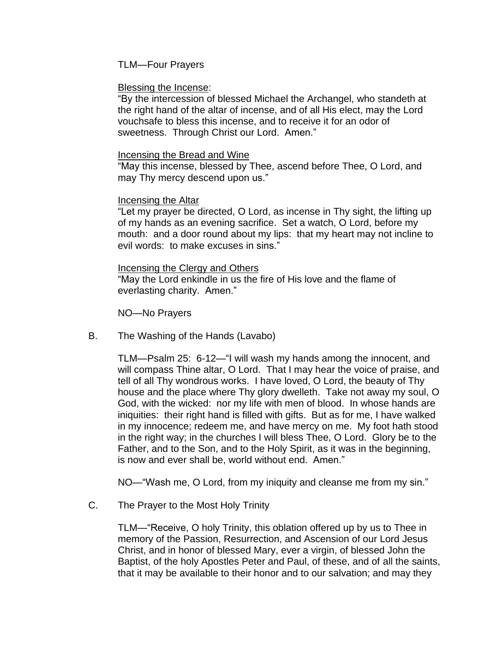TLM—Four Prayers

#### Blessing the Incense:

"By the intercession of blessed Michael the Archangel, who standeth at the right hand of the altar of incense, and of all His elect, may the Lord vouchsafe to bless this incense, and to receive it for an odor of sweetness. Through Christ our Lord. Amen."

#### Incensing the Bread and Wine

"May this incense, blessed by Thee, ascend before Thee, O Lord, and may Thy mercy descend upon us."

### Incensing the Altar

"Let my prayer be directed, O Lord, as incense in Thy sight, the lifting up of my hands as an evening sacrifice. Set a watch, O Lord, before my mouth: and a door round about my lips: that my heart may not incline to evil words: to make excuses in sins."

#### Incensing the Clergy and Others

"May the Lord enkindle in us the fire of His love and the flame of everlasting charity. Amen."

NO—No Prayers

B. The Washing of the Hands (Lavabo)

TLM—Psalm 25: 6-12—"I will wash my hands among the innocent, and will compass Thine altar, O Lord. That I may hear the voice of praise, and tell of all Thy wondrous works. I have loved, O Lord, the beauty of Thy house and the place where Thy glory dwelleth. Take not away my soul, O God, with the wicked: nor my life with men of blood. In whose hands are iniquities: their right hand is filled with gifts. But as for me, I have walked in my innocence; redeem me, and have mercy on me. My foot hath stood in the right way; in the churches I will bless Thee, O Lord. Glory be to the Father, and to the Son, and to the Holy Spirit, as it was in the beginning, is now and ever shall be, world without end. Amen."

NO—"Wash me, O Lord, from my iniquity and cleanse me from my sin."

C. The Prayer to the Most Holy Trinity

TLM—"Receive, O holy Trinity, this oblation offered up by us to Thee in memory of the Passion, Resurrection, and Ascension of our Lord Jesus Christ, and in honor of blessed Mary, ever a virgin, of blessed John the Baptist, of the holy Apostles Peter and Paul, of these, and of all the saints, that it may be available to their honor and to our salvation; and may they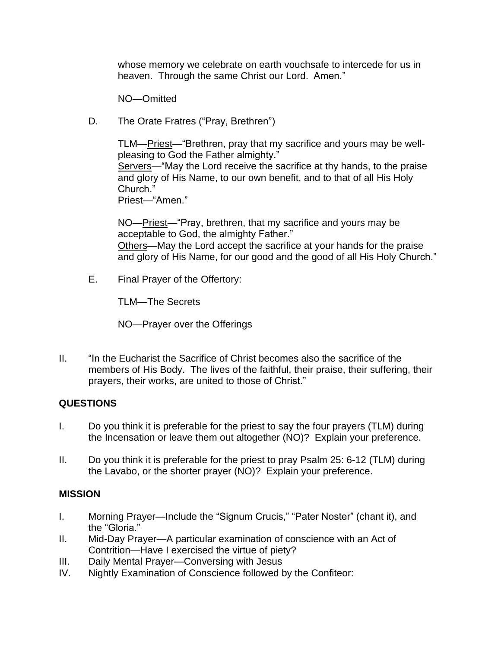whose memory we celebrate on earth vouchsafe to intercede for us in heaven. Through the same Christ our Lord. Amen."

NO—Omitted

D. The Orate Fratres ("Pray, Brethren")

TLM—Priest—"Brethren, pray that my sacrifice and yours may be wellpleasing to God the Father almighty." Servers—"May the Lord receive the sacrifice at thy hands, to the praise and glory of His Name, to our own benefit, and to that of all His Holy Church." Priest—"Amen."

NO—Priest—"Pray, brethren, that my sacrifice and yours may be acceptable to God, the almighty Father." Others—May the Lord accept the sacrifice at your hands for the praise and glory of His Name, for our good and the good of all His Holy Church."

E. Final Prayer of the Offertory:

TLM—The Secrets

NO—Prayer over the Offerings

II. "In the Eucharist the Sacrifice of Christ becomes also the sacrifice of the members of His Body. The lives of the faithful, their praise, their suffering, their prayers, their works, are united to those of Christ."

# **QUESTIONS**

- I. Do you think it is preferable for the priest to say the four prayers (TLM) during the Incensation or leave them out altogether (NO)? Explain your preference.
- II. Do you think it is preferable for the priest to pray Psalm 25: 6-12 (TLM) during the Lavabo, or the shorter prayer (NO)? Explain your preference.

## **MISSION**

- I. Morning Prayer—Include the "Signum Crucis," "Pater Noster" (chant it), and the "Gloria."
- II. Mid-Day Prayer—A particular examination of conscience with an Act of Contrition—Have I exercised the virtue of piety?
- III. Daily Mental Prayer—Conversing with Jesus
- IV. Nightly Examination of Conscience followed by the Confiteor: